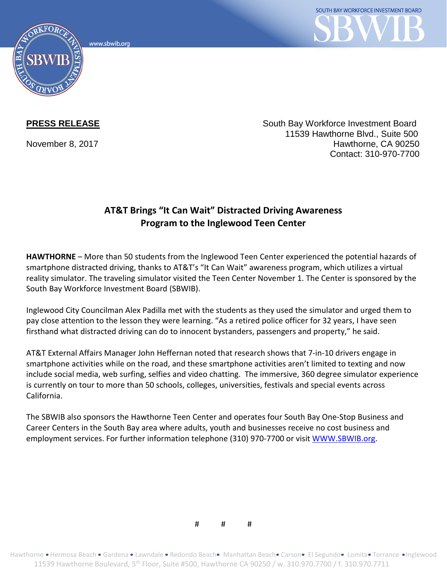www.sbwib.org



**PRESS RELEASE** South Bay Workforce Investment Board 11539 Hawthorne Blvd., Suite 500 November 8, 2017 **Hawthorne, CA 90250** Contact: 310-970-7700

## **AT&T Brings "It Can Wait" Distracted Driving Awareness Program to the Inglewood Teen Center**

**HAWTHORNE** – More than 50 students from the Inglewood Teen Center experienced the potential hazards of smartphone distracted driving, thanks to AT&T's "It Can Wait" awareness program, which utilizes a virtual reality simulator. The traveling simulator visited the Teen Center November 1. The Center is sponsored by the South Bay Workforce Investment Board (SBWIB).

Inglewood City Councilman Alex Padilla met with the students as they used the simulator and urged them to pay close attention to the lesson they were learning. "As a retired police officer for 32 years, I have seen firsthand what distracted driving can do to innocent bystanders, passengers and property," he said.

AT&T External Affairs Manager John Heffernan noted that research shows that 7-in-10 drivers engage in smartphone activities while on the road, and these smartphone activities aren't limited to texting and now include social media, web surfing, selfies and video chatting. The immersive, 360 degree simulator experience is currently on tour to more than 50 schools, colleges, universities, festivals and special events across California.

The SBWIB also sponsors the Hawthorne Teen Center and operates four South Bay One-Stop Business and Career Centers in the South Bay area where adults, youth and businesses receive no cost business and employment services. For further information telephone (310) 970-7700 or visi[t WWW.SBWIB.org.](http://www.sbwib.org/)

# # #